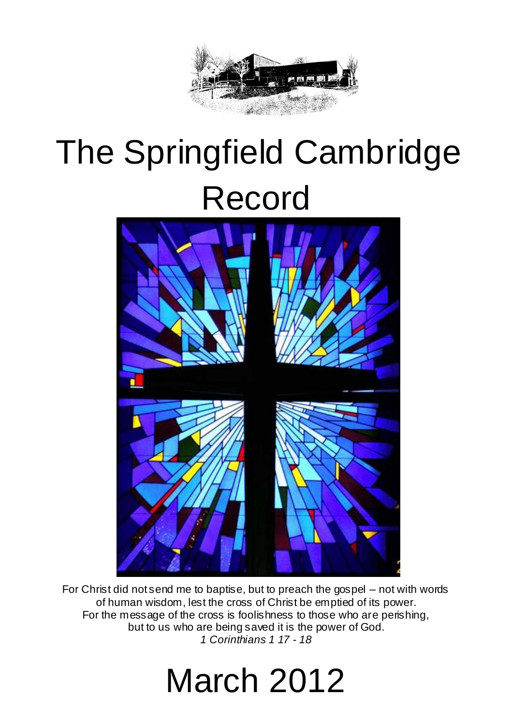

# The Springfield Cambridge Record



For Christ did not send me to baptise, but to preach the gospel – not with words of human wisdom, lest the cross of Christ be emptied of its power. For the message of the cross is foolishness to those who are perishing, but to us who are being saved it is the power of God. *1 Corinthians 1 17 - 18*

# March 2012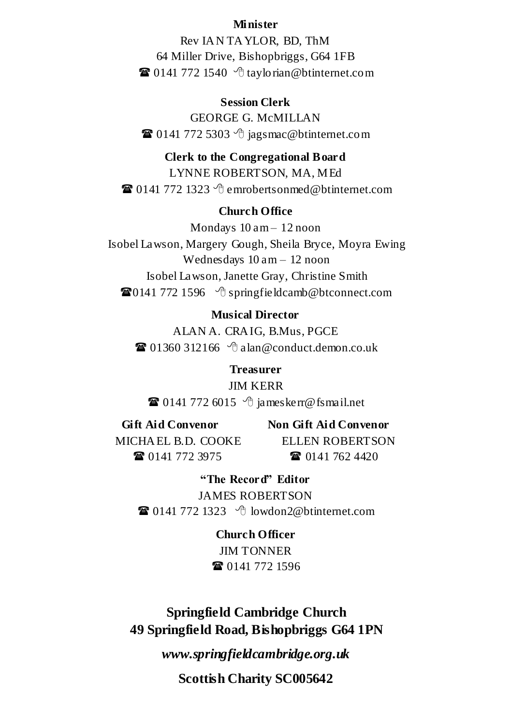#### **Minister**

Rev IA N TA YLOR, BD, ThM 64 Miller Drive, Bishopbriggs, G64 1FB  $\mathbf{\widehat{a}}$  0141 772 1540  $\Diamond$  taylorian @btinternet.com

**Session Clerk**

GEORGE G. McMILLAN  $\mathbf{\widehat{a}}$  0141 772 5303  $\Diamond$  jagsmac@btinternet.com

#### **Clerk to the Congregational Board** LYNNE ROBERTSON, MA, MEd  $\mathbf{\widehat{a}}$  0141 772 1323  $\Diamond$  emrobertsonmed@btinternet.com

#### **Church Office**

Mondays  $10 \text{ am} - 12 \text{ noon}$ Isobel Lawson, Margery Gough, Sheila Bryce, Moyra Ewing Wednesdays 10 am – 12 noon Isobel Lawson, Janette Gray, Christine Smith  $\mathbf{\widehat{a}}0141$  772 1596  $\Diamond$  [springfieldcamb@btconnect.com](mailto:springfieldcamb@btconnect.com)

#### **Musical Director**

ALAN A. CRA IG, B.Mus, PGCE  $\mathbf{\Omega}$  01360 312166  $\mathbf{\hat{A}}$  alan@conduct.demon.co.uk

**Treasurer** JIM KERR  $\mathbf{\hat{\mathbf{a}}}$  0141 772 6015  $\Diamond$  [jameskerr@fsmail.net](mailto:jameskerr@fsmail.net)

**Gift Aid Convenor Non Gift Aid Convenor** MICHA EL B.D. COOKE ELLEN ROBERTSON **8** 0141 772 3975 **8** 0141 762 4420

**"The Record" Editor** JAMES ROBERTSON  $\mathbf{\widehat{a}}$  0141 772 1323  $\Diamond$  [lowdon2@btinternet.com](mailto:lowdon2@btinternet.com)

> **Church Officer** *IIM TONNER* **雷** 0141 772 1596

**Springfield Cambridge Church 49 Springfield Road, Bishopbriggs G64 1PN**

*www.springfieldcambridge.org.uk*

**Scottish Charity SC005642**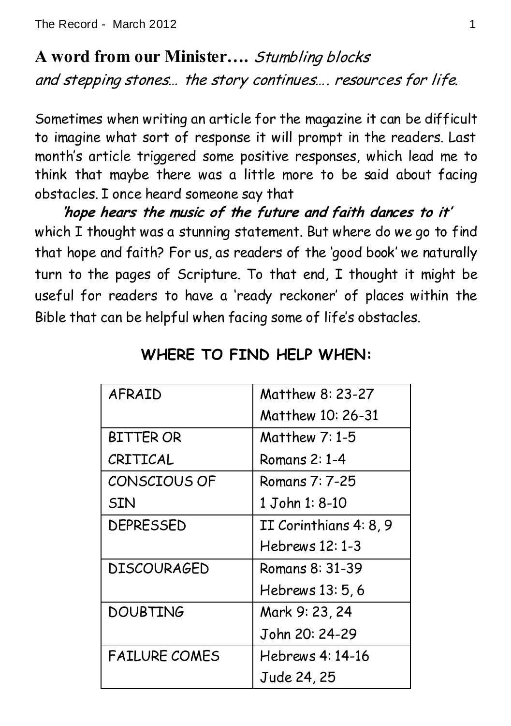**A word from our Minister….** Stumbling blocks and stepping stones… the story continues…. resources for life.

Sometimes when writing an article for the magazine it can be difficult to imagine what sort of response it will prompt in the readers. Last month's article triggered some positive responses, which lead me to think that maybe there was a little more to be said about facing obstacles. I once heard someone say that

**'hope hears the music of the future and faith dances to it'** which I thought was a stunning statement. But where do we go to find that hope and faith? For us, as readers of the 'good book' we naturally turn to the pages of Scripture. To that end, I thought it might be useful for readers to have a 'ready reckoner' of places within the Bible that can be helpful when facing some of life's obstacles.

| AFRAID               | Matthew 8: 23-27       |
|----------------------|------------------------|
|                      | Matthew 10: 26-31      |
| <b>BITTER OR</b>     | Matthew 7: 1-5         |
| CRITICAL             | Romans 2: 1-4          |
| CONSCIOUS OF         | Romans 7: 7-25         |
| <b>SIN</b>           | 1 John 1: 8-10         |
| DEPRESSED            | II Corinthians 4: 8, 9 |
|                      | Hebrews 12: 1-3        |
| <b>DISCOURAGED</b>   | Romans 8: 31-39        |
|                      | Hebrews 13: 5, 6       |
| <b>DOUBTING</b>      | Mark 9: 23, 24         |
|                      | John 20: 24-29         |
| <b>FAILURE COMES</b> | Hebrews 4: 14-16       |
|                      | Jude 24, 25            |

## **WHERE TO FIND HELP WHEN:**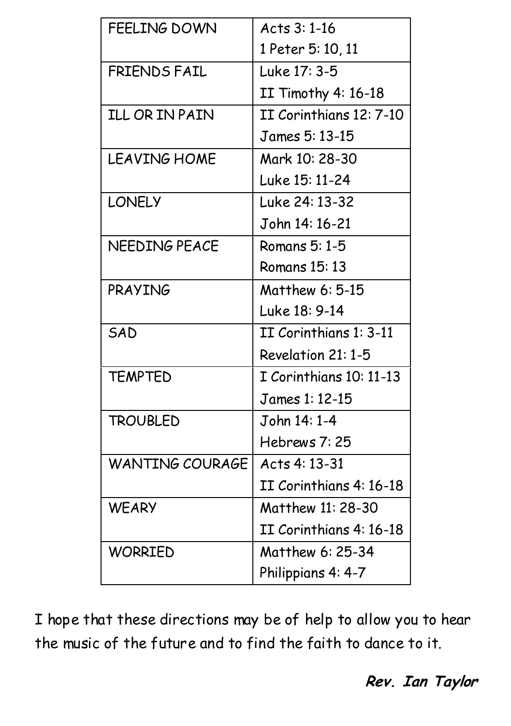| <b>FEELING DOWN</b><br>Acts 3: 1-16<br>1 Peter 5: 10, 11<br>Luke 17: 3-5<br><b>FRIENDS FAIL</b><br>II Timothy 4: 16-18<br><b>ILL OR IN PAIN</b><br>II Corinthians 12: 7-10<br>James 5: 13-15<br>Mark 10: 28-30<br><b>LEAVING HOME</b><br>Luke 15: 11-24<br><b>LONELY</b><br>Luke 24: 13-32<br>John 14: 16-21<br>NEEDING PEACE<br>Romans 5: 1-5<br><b>Romans 15: 13</b><br>PRAYING<br>Matthew 6: 5-15<br>Luke 18: 9-14<br>II Corinthians 1: 3-11<br>SAD<br>Revelation 21: 1-5<br><b>TEMPTED</b><br>I Corinthians 10: 11-13<br>James 1: 12-15<br><b>TROUBLED</b><br>John 14: 1-4<br>Hebrews 7:25<br><b>WANTING COURAGE</b><br>Acts 4: 13-31<br>II Corinthians 4: 16-18<br><b>WEARY</b><br>Matthew 11: 28-30<br>II Corinthians 4: 16-18<br>Matthew 6: 25-34<br><b>WORRIED</b><br>Philippians 4: 4-7 |  |
|--------------------------------------------------------------------------------------------------------------------------------------------------------------------------------------------------------------------------------------------------------------------------------------------------------------------------------------------------------------------------------------------------------------------------------------------------------------------------------------------------------------------------------------------------------------------------------------------------------------------------------------------------------------------------------------------------------------------------------------------------------------------------------------------------|--|
|                                                                                                                                                                                                                                                                                                                                                                                                                                                                                                                                                                                                                                                                                                                                                                                                  |  |
|                                                                                                                                                                                                                                                                                                                                                                                                                                                                                                                                                                                                                                                                                                                                                                                                  |  |
|                                                                                                                                                                                                                                                                                                                                                                                                                                                                                                                                                                                                                                                                                                                                                                                                  |  |
|                                                                                                                                                                                                                                                                                                                                                                                                                                                                                                                                                                                                                                                                                                                                                                                                  |  |
|                                                                                                                                                                                                                                                                                                                                                                                                                                                                                                                                                                                                                                                                                                                                                                                                  |  |
|                                                                                                                                                                                                                                                                                                                                                                                                                                                                                                                                                                                                                                                                                                                                                                                                  |  |
|                                                                                                                                                                                                                                                                                                                                                                                                                                                                                                                                                                                                                                                                                                                                                                                                  |  |
|                                                                                                                                                                                                                                                                                                                                                                                                                                                                                                                                                                                                                                                                                                                                                                                                  |  |
|                                                                                                                                                                                                                                                                                                                                                                                                                                                                                                                                                                                                                                                                                                                                                                                                  |  |
|                                                                                                                                                                                                                                                                                                                                                                                                                                                                                                                                                                                                                                                                                                                                                                                                  |  |
|                                                                                                                                                                                                                                                                                                                                                                                                                                                                                                                                                                                                                                                                                                                                                                                                  |  |
|                                                                                                                                                                                                                                                                                                                                                                                                                                                                                                                                                                                                                                                                                                                                                                                                  |  |
|                                                                                                                                                                                                                                                                                                                                                                                                                                                                                                                                                                                                                                                                                                                                                                                                  |  |
|                                                                                                                                                                                                                                                                                                                                                                                                                                                                                                                                                                                                                                                                                                                                                                                                  |  |
|                                                                                                                                                                                                                                                                                                                                                                                                                                                                                                                                                                                                                                                                                                                                                                                                  |  |
|                                                                                                                                                                                                                                                                                                                                                                                                                                                                                                                                                                                                                                                                                                                                                                                                  |  |
|                                                                                                                                                                                                                                                                                                                                                                                                                                                                                                                                                                                                                                                                                                                                                                                                  |  |
|                                                                                                                                                                                                                                                                                                                                                                                                                                                                                                                                                                                                                                                                                                                                                                                                  |  |
|                                                                                                                                                                                                                                                                                                                                                                                                                                                                                                                                                                                                                                                                                                                                                                                                  |  |
|                                                                                                                                                                                                                                                                                                                                                                                                                                                                                                                                                                                                                                                                                                                                                                                                  |  |
|                                                                                                                                                                                                                                                                                                                                                                                                                                                                                                                                                                                                                                                                                                                                                                                                  |  |
|                                                                                                                                                                                                                                                                                                                                                                                                                                                                                                                                                                                                                                                                                                                                                                                                  |  |
|                                                                                                                                                                                                                                                                                                                                                                                                                                                                                                                                                                                                                                                                                                                                                                                                  |  |
|                                                                                                                                                                                                                                                                                                                                                                                                                                                                                                                                                                                                                                                                                                                                                                                                  |  |
|                                                                                                                                                                                                                                                                                                                                                                                                                                                                                                                                                                                                                                                                                                                                                                                                  |  |
|                                                                                                                                                                                                                                                                                                                                                                                                                                                                                                                                                                                                                                                                                                                                                                                                  |  |

I hope that these directions may be of help to allow you to hear the music of the future and to find the faith to dance to it.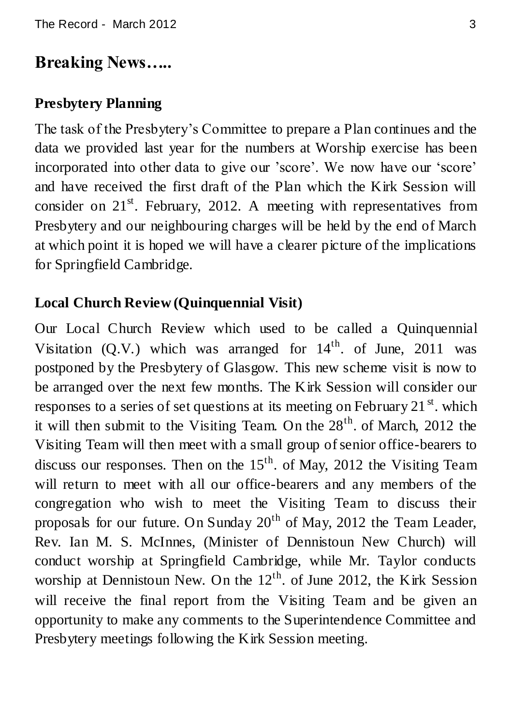## **Breaking News…..**

#### **Presbytery Planning**

The task of the Presbytery"s Committee to prepare a Plan continues and the data we provided last year for the numbers at Worship exercise has been incorporated into other data to give our 'score'. We now have our 'score' and have received the first draft of the Plan which the Kirk Session will consider on  $21<sup>st</sup>$ . February, 2012. A meeting with representatives from Presbytery and our neighbouring charges will be held by the end of March at which point it is hoped we will have a clearer picture of the implications for Springfield Cambridge.

### **Local Church Review (Quinquennial Visit)**

Our Local Church Review which used to be called a Quinquennial Visitation  $(0, V)$  which was arranged for  $14<sup>th</sup>$ , of June, 2011 was postponed by the Presbytery of Glasgow. This new scheme visit is now to be arranged over the next few months. The Kirk Session will consider our responses to a series of set questions at its meeting on February 21 $^{\rm st}$ , which it will then submit to the Visiting Team. On the  $28<sup>th</sup>$  of March, 2012 the Visiting Team will then meet with a small group of senior office-bearers to discuss our responses. Then on the  $15<sup>th</sup>$  of May, 2012 the Visiting Team will return to meet with all our office-bearers and any members of the congregation who wish to meet the Visiting Team to discuss their proposals for our future. On Sunday  $20<sup>th</sup>$  of May, 2012 the Team Leader, Rev. Ian M. S. McInnes, (Minister of Dennistoun New Church) will conduct worship at Springfield Cambridge, while Mr. Taylor conducts worship at Dennistoun New. On the 12<sup>th</sup>. of June 2012, the Kirk Session will receive the final report from the Visiting Team and be given an opportunity to make any comments to the Superintendence Committee and Presbytery meetings following the Kirk Session meeting.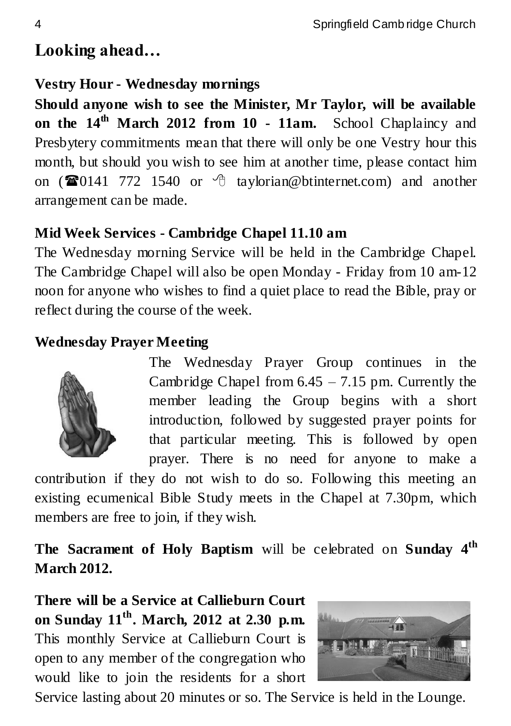## **Looking ahead…**

### **Vestry Hour - Wednesday mornings**

**Should anyone wish to see the Minister, Mr Taylor, will be available on the 14th March 2012 from 10 - 11am.** School Chaplaincy and Presbytery commitments mean that there will only be one Vestry hour this month, but should you wish to see him at another time, please contact him on ( $\mathbf{\widehat{\mathfrak{m}}}0141$  772 1540 or  $\oplus$  taylorian@btinternet.com) and another arrangement can be made.

### **Mid Week Services - Cambridge Chapel 11.10 am**

The Wednesday morning Service will be held in the Cambridge Chapel. The Cambridge Chapel will also be open Monday - Friday from 10 am-12 noon for anyone who wishes to find a quiet place to read the Bible, pray or reflect during the course of the week.

### **Wednesday Prayer Meeting**



The Wednesday Prayer Group continues in the Cambridge Chapel from  $6.45 - 7.15$  pm. Currently the member leading the Group begins with a short introduction, followed by suggested prayer points for that particular meeting. This is followed by open prayer. There is no need for anyone to make a

contribution if they do not wish to do so. Following this meeting an existing ecumenical Bible Study meets in the Chapel at 7.30pm, which members are free to join, if they wish.

**The Sacrament of Holy Baptism** will be celebrated on **Sunday 4th March 2012.**

**There will be a Service at Callieburn Court on Sunday 11th. March, 2012 at 2.30 p.m.**  This monthly Service at Callieburn Court is open to any member of the congregation who would like to join the residents for a short



Service lasting about 20 minutes or so. The Service is held in the Lounge.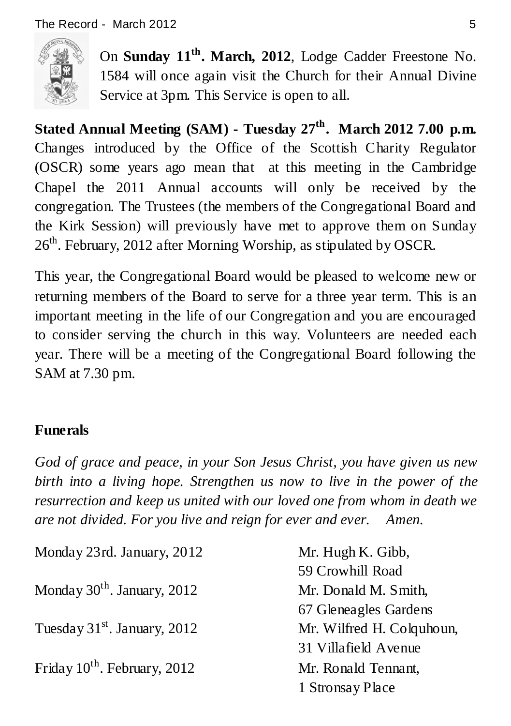

On **Sunday 11 th . March, 2012**, Lodge Cadder Freestone No. 1584 will once again visit the Church for their Annual Divine Service at 3pm. This Service is open to all.

**Stated Annual Meeting (SAM) - Tuesday 27th. March 2012 7.00 p.m.**  Changes introduced by the Office of the Scottish Charity Regulator (OSCR) some years ago mean that at this meeting in the Cambridge Chapel the 2011 Annual accounts will only be received by the congregation. The Trustees (the members of the Congregational Board and the Kirk Session) will previously have met to approve them on Sunday 26<sup>th</sup>, February, 2012 after Morning Worship, as stipulated by OSCR.

This year, the Congregational Board would be pleased to welcome new or returning members of the Board to serve for a three year term. This is an important meeting in the life of our Congregation and you are encouraged to consider serving the church in this way. Volunteers are needed each year. There will be a meeting of the Congregational Board following the SAM at 7.30 pm.

## **Funerals**

*God of grace and peace, in your Son Jesus Christ, you have given us new birth into a living hope. Strengthen us now to live in the power of the resurrection and keep us united with our loved one from whom in death we are not divided. For you live and reign for ever and ever. Amen.*

| Monday 23rd. January, 2012              | Mr. Hugh K. Gibb,         |
|-----------------------------------------|---------------------------|
|                                         | 59 Crowhill Road          |
| Monday $30^{\text{th}}$ . January, 2012 | Mr. Donald M. Smith,      |
|                                         | 67 Gleneagles Gardens     |
| Tuesday $31st$ . January, 2012          | Mr. Wilfred H. Colquhoun, |
|                                         | 31 Villafield Avenue      |
| Friday $10^{th}$ . February, 2012       | Mr. Ronald Tennant,       |
|                                         | 1 Stronsay Place          |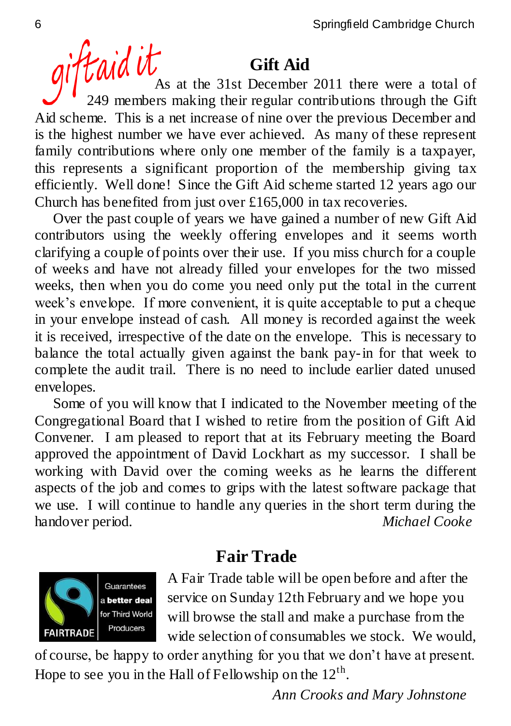## **Gift Aid**

giftaid Ut Gift Aid 249 members making their regular contributions through the Gift Aid scheme. This is a net increase of nine over the previous December and is the highest number we have ever achieved. As many of these represent family contributions where only one member of the family is a taxpayer, this represents a significant proportion of the membership giving tax efficiently. Well done! Since the Gift Aid scheme started 12 years ago our Church has benefited from just over £165,000 in tax recoveries.

 Over the past couple of years we have gained a number of new Gift Aid contributors using the weekly offering envelopes and it seems worth clarifying a couple of points over their use. If you miss church for a couple of weeks and have not already filled your envelopes for the two missed weeks, then when you do come you need only put the total in the current week"s envelope. If more convenient, it is quite acceptable to put a cheque in your envelope instead of cash. All money is recorded against the week it is received, irrespective of the date on the envelope. This is necessary to balance the total actually given against the bank pay-in for that week to complete the audit trail. There is no need to include earlier dated unused envelopes.

 Some of you will know that I indicated to the November meeting of the Congregational Board that I wished to retire from the position of Gift Aid Convener. I am pleased to report that at its February meeting the Board approved the appointment of David Lockhart as my successor. I shall be working with David over the coming weeks as he learns the different aspects of the job and comes to grips with the latest software package that we use. I will continue to handle any queries in the short term during the handover period. *Michael Cooke*



## **Fair Trade**

A Fair Trade table will be open before and after the service on Sunday 12th February and we hope you will browse the stall and make a purchase from the wide selection of consumables we stock. We would,

of course, be happy to order anything for you that we don"t have at present. Hope to see you in the Hall of Fellowship on the  $12<sup>th</sup>$ .

 *Ann Crooks and Mary Johnstone*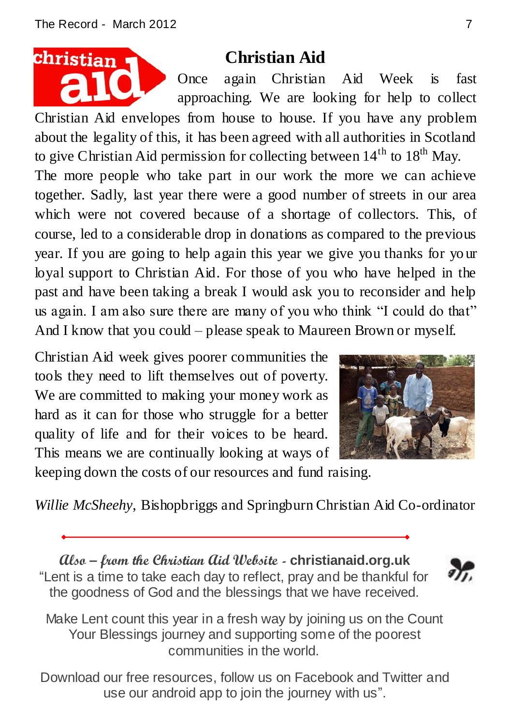

## **Christian Aid**

Once again Christian Aid Week is fast approaching. We are looking for help to collect

Christian Aid envelopes from house to house. If you have any problem about the legality of this, it has been agreed with all authorities in Scotland to give Christian Aid permission for collecting between  $14<sup>th</sup>$  to  $18<sup>th</sup>$  May. The more people who take part in our work the more we can achieve

together. Sadly, last year there were a good number of streets in our area which were not covered because of a shortage of collectors. This, of course, led to a considerable drop in donations as compared to the previous year. If you are going to help again this year we give you thanks for yo ur loyal support to Christian Aid. For those of you who have helped in the past and have been taking a break I would ask you to reconsider and help us again. I am also sure there are many of you who think "I could do that" And I know that you could – please speak to Maureen Brown or myself.

Christian Aid week gives poorer communities the tools they need to lift themselves out of poverty. We are committed to making your money work as hard as it can for those who struggle for a better quality of life and for their voices to be heard. This means we are continually looking at ways of



keeping down the costs of our resources and fund raising.

*Willie McSheehy*, Bishopbriggs and Springburn Christian Aid Co-ordinator

**Also – from the Christian Aid Website - christianaid.org.uk** "Lent is a time to take each day to reflect, pray and be thankful for the goodness of God and the blessings that we have received.



Make Lent count this year in a fresh way by joining us on the Count Your Blessings journey and supporting some of the poorest communities in the world.

Download our free [resources,](http://www.christianaid.org.uk/getinvolved/lent-2012/download-resources.aspx) follow us on [Facebook and Twitter](http://www.christianaid.org.uk/getinvolved/lent-2012/facebook-and-twitter.aspx) and use our [android app](http://www.christianaid.org.uk/getinvolved/Lent2012/android-app.aspx) to join the journey with us".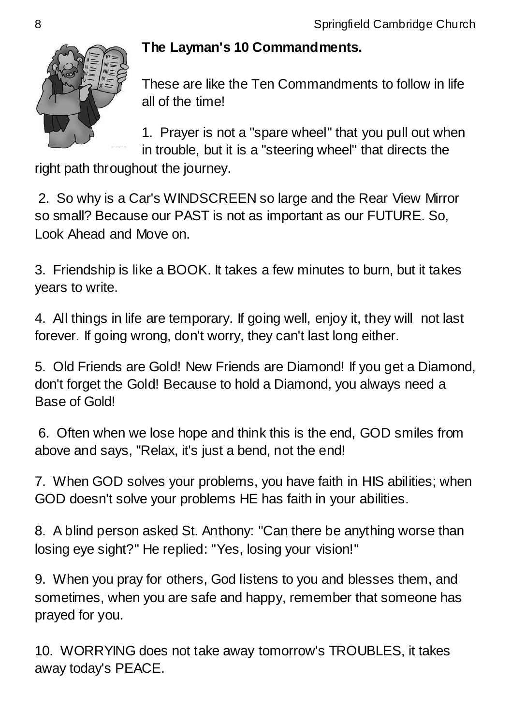

### **The Layman's 10 Commandments.**

These are like the Ten Commandments to follow in life all of the time!

1. Prayer is not a "spare wheel" that you pull out when in trouble, but it is a "steering wheel" that directs the

right path throughout the journey.

2. So why is a Car's WINDSCREEN so large and the Rear View Mirror so small? Because our PAST is not as important as our FUTURE. So, Look Ahead and Move on.

3. Friendship is like a BOOK. It takes a few minutes to burn, but it takes years to write.

4. All things in life are temporary. If going well, enjoy it, they will not last forever. If going wrong, don't worry, they can't last long either.

5. Old Friends are Gold! New Friends are Diamond! If you get a Diamond, don't forget the Gold! Because to hold a Diamond, you always need a Base of Gold!

6. Often when we lose hope and think this is the end, GOD smiles from above and says, "Relax, it's just a bend, not the end!

7. When GOD solves your problems, you have faith in HIS abilities; when GOD doesn't solve your problems HE has faith in your abilities.

8. A blind person asked St. Anthony: "Can there be anything worse than losing eye sight?" He replied: "Yes, losing your vision!"

9. When you pray for others, God listens to you and blesses them, and sometimes, when you are safe and happy, remember that someone has prayed for you.

10. WORRYING does not take away tomorrow's TROUBLES, it takes away today's PEACE.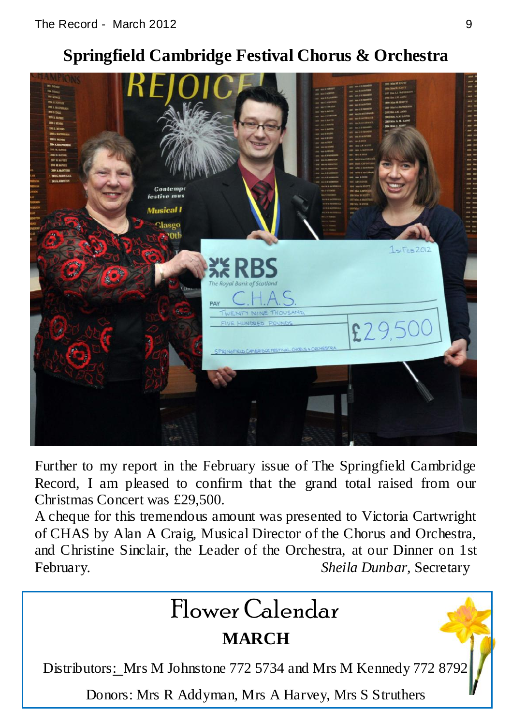## **Springfield Cambridge Festival Chorus & Orchestra**



Further to my report in the February issue of The Springfield Cambridge Record, I am pleased to confirm that the grand total raised from our Christmas Concert was £29,500.

A cheque for this tremendous amount was presented to Victoria Cartwright of CHAS by Alan A Craig, Musical Director of the Chorus and Orchestra, and Christine Sinclair, the Leader of the Orchestra, at our Dinner on 1st February. *Sheila Dunbar,* Secretary

# Flower Calendar

## **MARCH**

Distributors: Mrs M Johnstone 772 5734 and Mrs M Kennedy 772 8792

Donors: Mrs R Addyman, Mrs A Harvey, Mrs S Struthers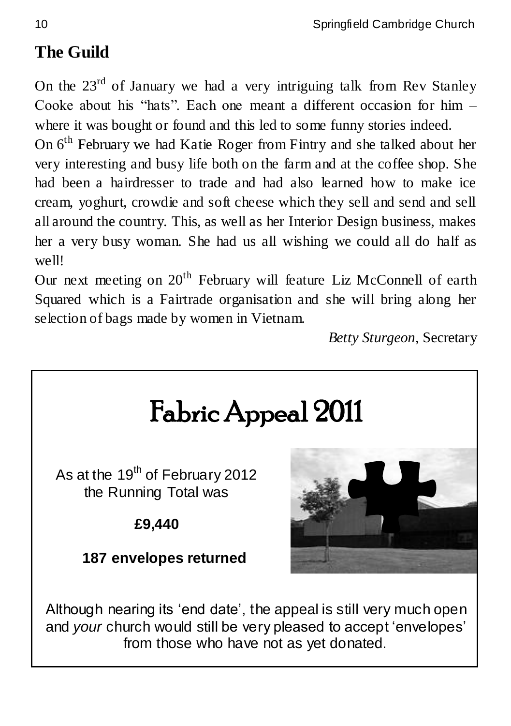## **The Guild**

On the  $23<sup>rd</sup>$  of January we had a very intriguing talk from Rev Stanley Cooke about his "hats". Each one meant a different occasion for him – where it was bought or found and this led to some funny stories indeed.

On 6th February we had Katie Roger from Fintry and she talked about her very interesting and busy life both on the farm and at the coffee shop. She had been a hairdresser to trade and had also learned how to make ice cream, yoghurt, crowdie and soft cheese which they sell and send and sell all around the country. This, as well as her Interior Design business, makes her a very busy woman. She had us all wishing we could all do half as well!

Our next meeting on  $20<sup>th</sup>$  February will feature Liz McConnell of earth Squared which is a Fairtrade organisation and she will bring along her selection of bags made by women in Vietnam.

*Betty Sturgeon*, Secretary

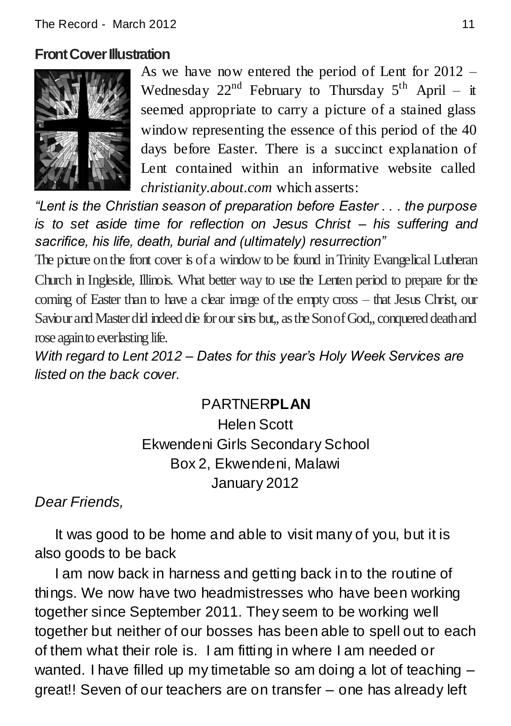#### **Front Cover Illustration**



As we have now entered the period of Lent for 2012 – Wednesday  $22^{nd}$  February to Thursday  $5^{th}$  April – it seemed appropriate to carry a picture of a stained glass window representing the essence of this period of the 40 days before Easter. There is a succinct explanation of Lent contained within an informative website called *christianity.about.com* which asserts:

*"Lent is the Christian season of preparation before Easter . . . the purpose is to set aside time for reflection on Jesus Christ – his suffering and sacrifice, his life, death, burial and (ultimately) resurrection"*

The picture on the front cover is of a window to be found in Trinity Evangelical Lutheran Church in Ingleside, Illinois. What better way to use the Lenten period to prepare for the coming of Easter than to have a clear image of the empty cross – that Jesus Christ, our Saviour and Master did indeed die for our sins but,, as the Son of God,, conquered death and rose again to everlasting life.

*With regard to Lent 2012 – Dates for this year's Holy Week Services are listed on the back cover.*

## PARTNER**PLAN**

Helen Scott Ekwendeni Girls Secondary School Box 2, Ekwendeni, Malawi January 2012

*Dear Friends,*

 It was good to be home and able to visit many of you, but it is also goods to be back

 I am now back in harness and getting back in to the routine of things. We now have two headmistresses who have been working together since September 2011. They seem to be working well together but neither of our bosses has been able to spell out to each of them what their role is. I am fitting in where I am needed or wanted. I have filled up my timetable so am doing a lot of teaching – great!! Seven of our teachers are on transfer – one has already left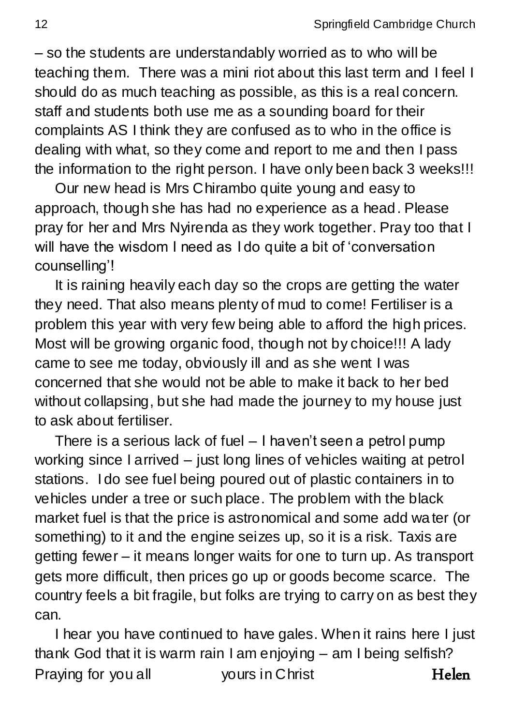– so the students are understandably worried as to who will be teaching them. There was a mini riot about this last term and I feel I should do as much teaching as possible, as this is a real concern. staff and students both use me as a sounding board for their complaints AS I think they are confused as to who in the office is dealing with what, so they come and report to me and then I pass the information to the right person. I have only been back 3 weeks!!!

 Our new head is Mrs Chirambo quite young and easy to approach, though she has had no experience as a head. Please pray for her and Mrs Nyirenda as they work together. Pray too that I will have the wisdom I need as I do quite a bit of 'conversation counselling"!

 It is raining heavily each day so the crops are getting the water they need. That also means plenty of mud to come! Fertiliser is a problem this year with very few being able to afford the high prices. Most will be growing organic food, though not by choice!!! A lady came to see me today, obviously ill and as she went I was concerned that she would not be able to make it back to her bed without collapsing, but she had made the journey to my house just to ask about fertiliser.

 There is a serious lack of fuel – I haven"t seen a petrol pump working since I arrived – just long lines of vehicles waiting at petrol stations. I do see fuel being poured out of plastic containers in to vehicles under a tree or such place. The problem with the black market fuel is that the price is astronomical and some add water (or something) to it and the engine seizes up, so it is a risk. Taxis are getting fewer – it means longer waits for one to turn up. As transport gets more difficult, then prices go up or goods become scarce. The country feels a bit fragile, but folks are trying to carry on as best they can.

 I hear you have continued to have gales. When it rains here I just thank God that it is warm rain I am enjoying – am I being selfish? Praying for you all vours in Christ Thelen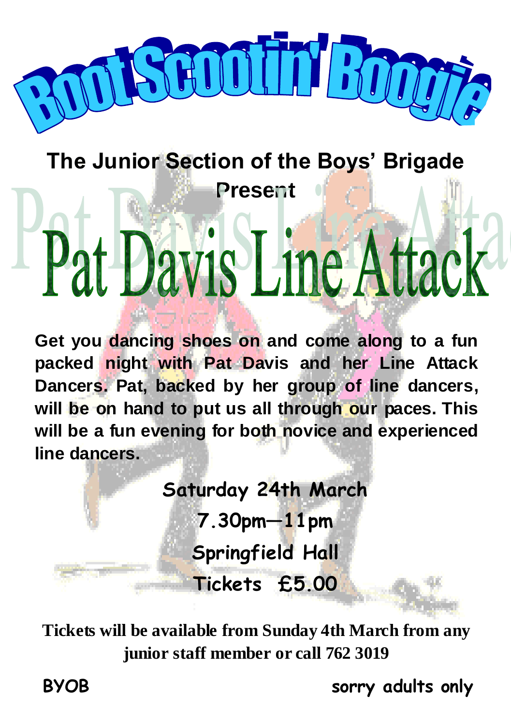

# **The Junior Section of the Boys' Brigade Present** I I

**Get you dancing shoes on and come along to a fun packed night with Pat Davis and her Line Attack Dancers. Pat, backed by her group of line dancers, will be on hand to put us all through our paces. This will be a fun evening for both novice and experienced line dancers.**

> **Saturday 24th March 7.30pm—11pm Springfield Hall Tickets £5.00**

**Tickets will be available from Sunday 4th March from any junior staff member or call 762 3019**

i

**BYOB sorry adults only**